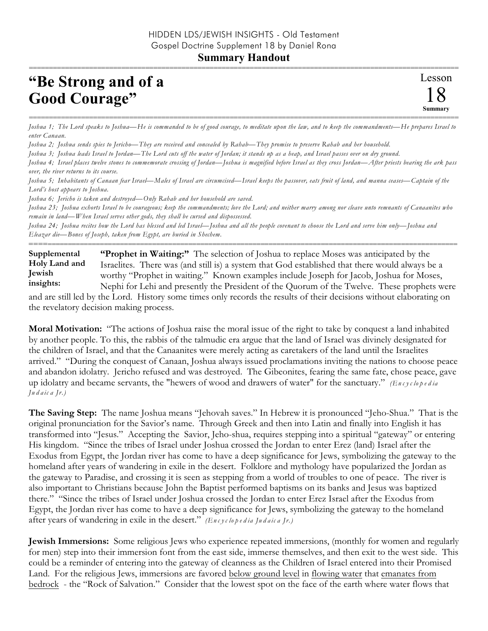## **Summary Handout**

## **"Be Strong and of a Good Courage"**

=========================================================================================================== *Joshua 1; The Lord speaks to Joshua—He is commanded to be of good courage, to meditate upon the law, and to keep the commandments—He prepares Israel to enter Canaan.*

*Joshua 2; Joshua sends spies to Jericho—They are received and concealed by Rahab—They promise to preserve Rahab and her household.*

*Joshua 3; Joshua leads Israel to Jordan—The Lord cuts off the water of Jordan; it stands up as a heap, and Israel passes over on dry ground.*

*Joshua 4; Israel places twelve stones to commemorate crossing of Jordan—Joshua is magnified before Israel as they cross Jordan—After priests bearing the ark pass over, the river returns to its course.*

*Joshua 5; Inhabitants of Canaan fear Israel—Males of Israel are circumcised—Israel keeps the passover, eats fruit of land, and manna ceases—Captain of the Lord's host appears to Joshua.*

*Joshua 6; Jericho is taken and destroyed—Only Rahab and her household are saved.*

*Joshua 23; Joshua exhorts Israel to be courageous; keep the commandments; love the Lord; and neither marry among nor cleave unto remnants of Canaanites who remain in land—When Israel serves other gods, they shall be cursed and dispossessed.*

*Joshua 24; Joshua recites how the Lord has blessed and led Israel—Joshua and all the people covenant to choose the Lord and serve him only—Joshua and Eleazar die—Bones of Joseph, taken from Egypt, are buried in Shechem.*

**"Prophet in Waiting:"** The selection of Joshua to replace Moses was anticipated by the Israelites. There was (and still is) a system that God established that there would always be a worthy "Prophet in waiting." Known examples include Joseph for Jacob, Joshua for Moses, Nephi for Lehi and presently the President of the Quorum of the Twelve. These prophets were **Supplemental Holy Land and Jewish insights:**

==========================================================================================================

and are still led by the Lord. History some times only records the results of their decisions without elaborating on the revelatory decision making process.

**Moral Motivation:** "The actions of Joshua raise the moral issue of the right to take by conquest a land inhabited by another people. To this, the rabbis of the talmudic era argue that the land of Israel was divinely designated for the children of Israel, and that the Canaanites were merely acting as caretakers of the land until the Israelites arrived." "During the conquest of Canaan, Joshua always issued proclamations inviting the nations to choose peace and abandon idolatry. Jericho refused and was destroyed. The Gibeonites, fearing the same fate, chose peace, gave up idolatry and became servants, the "hewers of wood and drawers of water" for the sanctuary." *(En c y c lope d ia Ju d a ic a Jr.)*

**The Saving Step:** The name Joshua means "Jehovah saves." In Hebrew it is pronounced "Jeho-Shua." That is the original pronunciation for the Savior's name. Through Greek and then into Latin and finally into English it has transformed into "Jesus." Accepting the Savior, Jeho-shua, requires stepping into a spiritual "gateway" or entering His kingdom. "Since the tribes of Israel under Joshua crossed the Jordan to enter Erez (land) Israel after the Exodus from Egypt, the Jordan river has come to have a deep significance for Jews, symbolizing the gateway to the homeland after years of wandering in exile in the desert. Folklore and mythology have popularized the Jordan as the gateway to Paradise, and crossing it is seen as stepping from a world of troubles to one of peace. The river is also important to Christians because John the Baptist performed baptisms on its banks and Jesus was baptized there." "Since the tribes of Israel under Joshua crossed the Jordan to enter Erez Israel after the Exodus from Egypt, the Jordan river has come to have a deep significance for Jews, symbolizing the gateway to the homeland after years of wandering in exile in the desert." *(En c y c lo p e d ia Ju d a ic a Jr.)*

**Jewish Immersions:** Some religious Jews who experience repeated immersions, (monthly for women and regularly for men) step into their immersion font from the east side, immerse themselves, and then exit to the west side. This could be a reminder of entering into the gateway of cleanness as the Children of Israel entered into their Promised Land. For the religious Jews, immersions are favored below ground level in flowing water that emanates from bedrock - the "Rock of Salvation." Consider that the lowest spot on the face of the earth where water flows that